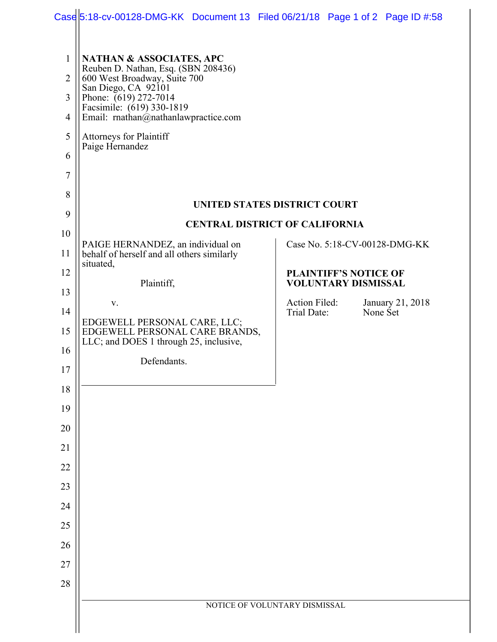|                                                                 | Case 5:18-cv-00128-DMG-KK Document 13 Filed 06/21/18 Page 1 of 2 Page ID #:58                                                                                                                                                                                                        |  |                               |                                                            |                  |  |
|-----------------------------------------------------------------|--------------------------------------------------------------------------------------------------------------------------------------------------------------------------------------------------------------------------------------------------------------------------------------|--|-------------------------------|------------------------------------------------------------|------------------|--|
| $\mathbf{1}$<br>$\overline{2}$<br>3<br>$\overline{4}$<br>5<br>6 | <b>NATHAN &amp; ASSOCIATES, APC</b><br>Reuben D. Nathan, Esq. (SBN 208436)<br>600 West Broadway, Suite 700<br>San Diego, CA 92101<br>Phone: (619) 272-7014<br>Facsimile: (619) 330-1819<br>Email: rnathan@nathanlawpractice.com<br><b>Attorneys for Plaintiff</b><br>Paige Hernandez |  |                               |                                                            |                  |  |
| $\overline{7}$<br>8                                             |                                                                                                                                                                                                                                                                                      |  |                               |                                                            |                  |  |
| 9                                                               | UNITED STATES DISTRICT COURT<br><b>CENTRAL DISTRICT OF CALIFORNIA</b>                                                                                                                                                                                                                |  |                               |                                                            |                  |  |
| 10                                                              |                                                                                                                                                                                                                                                                                      |  |                               |                                                            |                  |  |
| 11                                                              | PAIGE HERNANDEZ, an individual on<br>behalf of herself and all others similarly                                                                                                                                                                                                      |  |                               | Case No. 5:18-CV-00128-DMG-KK                              |                  |  |
| 12                                                              | situated,<br>Plaintiff,                                                                                                                                                                                                                                                              |  |                               | <b>PLAINTIFF'S NOTICE OF</b><br><b>VOLUNTARY DISMISSAL</b> |                  |  |
| 13                                                              | V.                                                                                                                                                                                                                                                                                   |  | Action Filed:                 |                                                            | January 21, 2018 |  |
| 14                                                              | EDGEWELL PERSONAL CARE, LLC;                                                                                                                                                                                                                                                         |  | Trial Date:                   |                                                            | None Set         |  |
| 15<br>16                                                        | EDGEWELL PERSONAL CARE BRANDS,<br>LLC; and DOES 1 through 25, inclusive,                                                                                                                                                                                                             |  |                               |                                                            |                  |  |
| 17                                                              | Defendants.                                                                                                                                                                                                                                                                          |  |                               |                                                            |                  |  |
| 18                                                              |                                                                                                                                                                                                                                                                                      |  |                               |                                                            |                  |  |
| 19                                                              |                                                                                                                                                                                                                                                                                      |  |                               |                                                            |                  |  |
| 20                                                              |                                                                                                                                                                                                                                                                                      |  |                               |                                                            |                  |  |
| 21                                                              |                                                                                                                                                                                                                                                                                      |  |                               |                                                            |                  |  |
| 22                                                              |                                                                                                                                                                                                                                                                                      |  |                               |                                                            |                  |  |
| 23                                                              |                                                                                                                                                                                                                                                                                      |  |                               |                                                            |                  |  |
| 24                                                              |                                                                                                                                                                                                                                                                                      |  |                               |                                                            |                  |  |
| 25                                                              |                                                                                                                                                                                                                                                                                      |  |                               |                                                            |                  |  |
| 26                                                              |                                                                                                                                                                                                                                                                                      |  |                               |                                                            |                  |  |
| 27                                                              |                                                                                                                                                                                                                                                                                      |  |                               |                                                            |                  |  |
| 28                                                              |                                                                                                                                                                                                                                                                                      |  |                               |                                                            |                  |  |
|                                                                 |                                                                                                                                                                                                                                                                                      |  | NOTICE OF VOLUNTARY DISMISSAL |                                                            |                  |  |
|                                                                 |                                                                                                                                                                                                                                                                                      |  |                               |                                                            |                  |  |